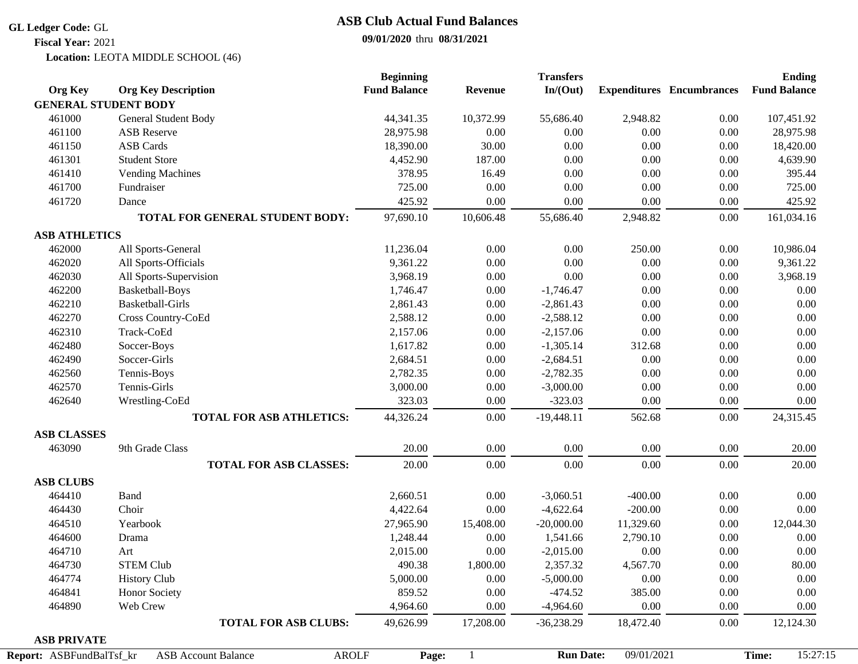#### **GL Ledger Code:** GL

**Fiscal Year:** 2021

## **ASB Club Actual Fund Balances**

### **09/01/2020** thru **08/31/2021**

Location: LEOTA MIDDLE SCHOOL (46)

|                             |                                     | <b>Beginning</b>    |                | <b>Transfers</b> |            |                                  | <b>Ending</b>       |
|-----------------------------|-------------------------------------|---------------------|----------------|------------------|------------|----------------------------------|---------------------|
| <b>Org Key</b>              | <b>Org Key Description</b>          | <b>Fund Balance</b> | <b>Revenue</b> | In/(Out)         |            | <b>Expenditures</b> Encumbrances | <b>Fund Balance</b> |
| <b>GENERAL STUDENT BODY</b> |                                     |                     |                |                  |            |                                  |                     |
| 461000                      | General Student Body                | 44,341.35           | 10,372.99      | 55,686.40        | 2,948.82   | 0.00                             | 107,451.92          |
| 461100                      | <b>ASB</b> Reserve                  | 28,975.98           | 0.00           | 0.00             | 0.00       | 0.00                             | 28,975.98           |
| 461150                      | <b>ASB Cards</b>                    | 18,390.00           | 30.00          | 0.00             | 0.00       | 0.00                             | 18,420.00           |
| 461301                      | <b>Student Store</b>                | 4,452.90            | 187.00         | 0.00             | 0.00       | 0.00                             | 4,639.90            |
| 461410                      | <b>Vending Machines</b>             | 378.95              | 16.49          | 0.00             | 0.00       | 0.00                             | 395.44              |
| 461700                      | Fundraiser                          | 725.00              | 0.00           | 0.00             | 0.00       | 0.00                             | 725.00              |
| 461720                      | Dance                               | 425.92              | 0.00           | 0.00             | 0.00       | 0.00                             | 425.92              |
|                             | TOTAL FOR GENERAL STUDENT BODY:     | 97,690.10           | 10,606.48      | 55,686.40        | 2,948.82   | $0.00\,$                         | 161,034.16          |
| <b>ASB ATHLETICS</b>        |                                     |                     |                |                  |            |                                  |                     |
| 462000                      | All Sports-General                  | 11,236.04           | 0.00           | 0.00             | 250.00     | 0.00                             | 10,986.04           |
| 462020                      | All Sports-Officials                | 9,361.22            | 0.00           | 0.00             | 0.00       | 0.00                             | 9,361.22            |
| 462030                      | All Sports-Supervision              | 3,968.19            | 0.00           | 0.00             | 0.00       | 0.00                             | 3,968.19            |
| 462200                      | Basketball-Boys                     | 1,746.47            | 0.00           | $-1,746.47$      | 0.00       | 0.00                             | 0.00                |
| 462210                      | <b>Basketball-Girls</b>             | 2,861.43            | 0.00           | $-2,861.43$      | 0.00       | 0.00                             | 0.00                |
| 462270                      | Cross Country-CoEd                  | 2,588.12            | 0.00           | $-2,588.12$      | 0.00       | $0.00\,$                         | 0.00                |
| 462310                      | Track-CoEd                          | 2,157.06            | 0.00           | $-2,157.06$      | 0.00       | $0.00\,$                         | 0.00                |
| 462480                      | Soccer-Boys                         | 1,617.82            | 0.00           | $-1,305.14$      | 312.68     | 0.00                             | 0.00                |
| 462490                      | Soccer-Girls                        | 2,684.51            | 0.00           | $-2,684.51$      | 0.00       | 0.00                             | 0.00                |
| 462560                      | Tennis-Boys                         | 2,782.35            | 0.00           | $-2,782.35$      | 0.00       | 0.00                             | 0.00                |
| 462570                      | Tennis-Girls                        | 3,000.00            | 0.00           | $-3,000.00$      | 0.00       | 0.00                             | 0.00                |
| 462640                      | Wrestling-CoEd                      | 323.03              | 0.00           | $-323.03$        | 0.00       | 0.00                             | 0.00                |
|                             | <b>TOTAL FOR ASB ATHLETICS:</b>     | 44,326.24           | 0.00           | $-19,448.11$     | 562.68     | 0.00                             | 24,315.45           |
| <b>ASB CLASSES</b>          |                                     |                     |                |                  |            |                                  |                     |
| 463090                      | 9th Grade Class                     | 20.00               | 0.00           | 0.00             | 0.00       | 0.00                             | 20.00               |
|                             | <b>TOTAL FOR ASB CLASSES:</b>       | 20.00               | 0.00           | 0.00             | 0.00       | 0.00                             | 20.00               |
| <b>ASB CLUBS</b>            |                                     |                     |                |                  |            |                                  |                     |
| 464410                      | Band                                | 2,660.51            | 0.00           | $-3,060.51$      | $-400.00$  | 0.00                             | 0.00                |
| 464430                      | Choir                               | 4,422.64            | 0.00           | $-4,622.64$      | $-200.00$  | 0.00                             | 0.00                |
| 464510                      | Yearbook                            | 27,965.90           | 15,408.00      | $-20,000.00$     | 11,329.60  | 0.00                             | 12,044.30           |
| 464600                      | Drama                               | 1,248.44            | 0.00           | 1,541.66         | 2,790.10   | 0.00                             | 0.00                |
| 464710                      | Art                                 | 2,015.00            | 0.00           | $-2,015.00$      | 0.00       | 0.00                             | 0.00                |
| 464730                      | <b>STEM Club</b>                    | 490.38              | 1,800.00       | 2,357.32         | 4,567.70   | 0.00                             | 80.00               |
| 464774                      | <b>History Club</b>                 | 5,000.00            | 0.00           | $-5,000.00$      | 0.00       | $0.00\,$                         | 0.00                |
| 464841                      | Honor Society                       | 859.52              | 0.00           | $-474.52$        | 385.00     | $0.00\,$                         | 0.00                |
| 464890                      | Web Crew                            | 4,964.60            | 0.00           | $-4,964.60$      | 0.00       | 0.00                             | 0.00                |
|                             | <b>TOTAL FOR ASB CLUBS:</b>         | 49,626.99           | 17,208.00      | $-36,238.29$     | 18,472.40  | $0.00\,$                         | 12,124.30           |
| <b>ASB PRIVATE</b>          |                                     |                     |                |                  |            |                                  |                     |
| Report: ASBFundBalTsf_kr    | <b>ASB Account Balance</b><br>AROLF | Page:               | $\mathbf{1}$   | <b>Run Date:</b> | 09/01/2021 |                                  | 15:27:15<br>Time:   |